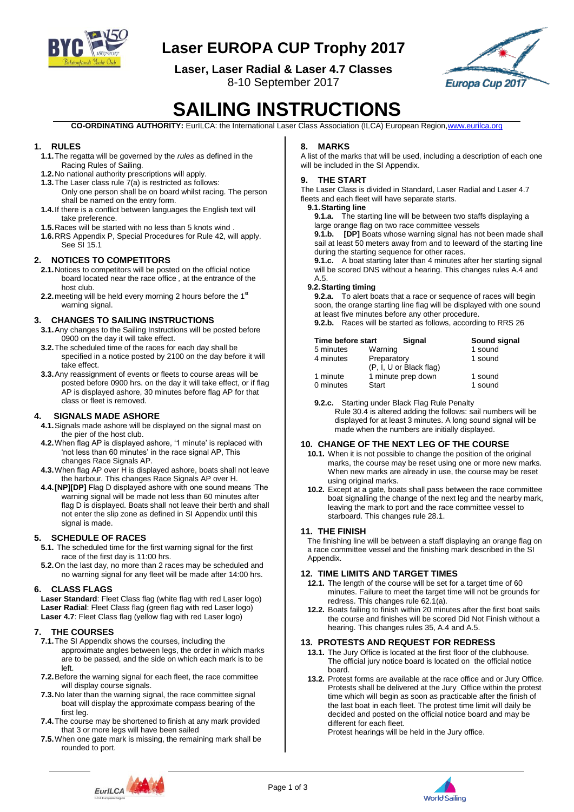

# **Laser EUROPA CUP Trophy 2017**

**Laser, Laser Radial & Laser 4.7 Classes**

8-10 September 2017



# **SAILING INSTRUCTIONS**

**CO-ORDINATING AUTHORITY:** EurILCA: the International Laser Class Association (ILCA) European Regio[n,www.eurilca.org](http://www.eurilca.org/)

# **1. RULES**

- **1.1.**The regatta will be governed by the *rules* as defined in the Racing Rules of Sailing.
- **1.2.**No national authority prescriptions will apply.
- **1.3.**The Laser class rule 7(a) is restricted as follows: Only one person shall be on board whilst racing. The person shall be named on the entry form.
- **1.4.**If there is a conflict between languages the English text will take preference.
- **1.5.**Races will be started with no less than 5 knots wind .
- **1.6.**RRS Appendix P, Special Procedures for Rule 42, will apply. See SI 15.1

# **2. NOTICES TO COMPETITORS**

- **2.1.**Notices to competitors will be posted on the official notice board located near the race office *,* at the entrance of the host club.
- **2.2.** meeting will be held every morning 2 hours before the 1st warning signal.

#### **3. CHANGES TO SAILING INSTRUCTIONS**

- **3.1.**Any changes to the Sailing Instructions will be posted before 0900 on the day it will take effect.
- **3.2.**The scheduled time of the races for each day shall be specified in a notice posted by 2100 on the day before it will take effect.
- **3.3.**Any reassignment of events or fleets to course areas will be posted before 0900 hrs. on the day it will take effect, or if flag AP is displayed ashore, 30 minutes before flag AP for that class or fleet is removed.

# **4. SIGNALS MADE ASHORE**

- **4.1.**Signals made ashore will be displayed on the signal mast on the pier of the host club.
- **4.2.**When flag AP is displayed ashore, '1 minute' is replaced with 'not less than 60 minutes' in the race signal AP, This changes Race Signals AP.
- **4.3.**When flag AP over H is displayed ashore, boats shall not leave the harbour. This changes Race Signals AP over H.
- **4.4.[NP][DP]** Flag D displayed ashore with one sound means 'The warning signal will be made not less than 60 minutes after flag D is displayed. Boats shall not leave their berth and shall not enter the slip zone as defined in SI Appendix until this signal is made.

#### **5. SCHEDULE OF RACES**

- **5.1.** The scheduled time for the first warning signal for the first race of the first day is 11:00 hrs.
- **5.2.**On the last day, no more than 2 races may be scheduled and no warning signal for any fleet will be made after 14:00 hrs.

#### **6. CLASS FLAGS**

**Laser Standard**: Fleet Class flag (white flag with red Laser logo) **Laser Radial**: Fleet Class flag (green flag with red Laser logo) Laser 4.7: Fleet Class flag (yellow flag with red Laser logo)

# **7. THE COURSES**

- **7.1.**The SI Appendix shows the courses, including the approximate angles between legs, the order in which marks
	- are to be passed, and the side on which each mark is to be left.
- **7.2.**Before the warning signal for each fleet, the race committee will display course signals.
- **7.3.**No later than the warning signal, the race committee signal boat will display the approximate compass bearing of the first leg.
- **7.4.**The course may be shortened to finish at any mark provided that 3 or more legs will have been sailed
- **7.5.**When one gate mark is missing, the remaining mark shall be rounded to port.

# **8. MARKS**

A list of the marks that will be used, including a description of each one will be included in the SI Appendix.

#### **9. THE START**

The Laser Class is divided in Standard, Laser Radial and Laser 4.7 fleets and each fleet will have separate starts.

#### **9.1.Starting line**

**9.1.a.** The starting line will be between two staffs displaying a large orange flag on two race committee vessels

**9.1.b. [DP]** Boats whose warning signal has not been made shall sail at least 50 meters away from and to leeward of the starting line during the starting sequence for other races.

**9.1.c.** A boat starting later than 4 minutes after her starting signal will be scored DNS without a hearing. This changes rules A.4 and A.5.

#### **9.2.Starting timing**

**9.2.a.** To alert boats that a race or sequence of races will begin soon, the orange starting line flag will be displayed with one sound at least five minutes before any other procedure. **9.2.b.** Races will be started as follows, according to RRS 26

| Time before start | Signal                  | Sound signal |
|-------------------|-------------------------|--------------|
| 5 minutes         | Warning                 | 1 sound      |
| 4 minutes         | Preparatory             | 1 sound      |
|                   | (P, I, U or Black flag) |              |
| 1 minute          | 1 minute prep down      | 1 sound      |
| 0 minutes         | Start                   | 1 sound      |

**9.2.c.** Starting under Black Flag Rule Penalty

Rule 30.4 is altered adding the follows: sail numbers will be displayed for at least 3 minutes. A long sound signal will be made when the numbers are initially displayed.

#### **10. CHANGE OF THE NEXT LEG OF THE COURSE**

- **10.1.** When it is not possible to change the position of the original marks, the course may be reset using one or more new marks. When new marks are already in use, the course may be reset using original marks.
- **10.2.** Except at a gate, boats shall pass between the race committee boat signalling the change of the next leg and the nearby mark, leaving the mark to port and the race committee vessel to starboard. This changes rule 28.1.

#### **11. THE FINISH**

The finishing line will be between a staff displaying an orange flag on a race committee vessel and the finishing mark described in the SI Appendix.

#### **12. TIME LIMITS AND TARGET TIMES**

- **12.1.** The length of the course will be set for a target time of 60 minutes. Failure to meet the target time will not be grounds for redress. This changes rule 62.1(a).
- **12.2.** Boats failing to finish within 20 minutes after the first boat sails the course and finishes will be scored Did Not Finish without a hearing. This changes rules 35, A.4 and A.5.

#### **13. PROTESTS AND REQUEST FOR REDRESS**

- **13.1.** The Jury Office is located at the first floor of the clubhouse. The official jury notice board is located on the official notice board.
- **13.2.** Protest forms are available at the race office and or Jury Office. Protests shall be delivered at the Jury Office within the protest time which will begin as soon as practicable after the finish of the last boat in each fleet. The protest time limit will daily be decided and posted on the official notice board and may be different for each fleet.

Protest hearings will be held in the Jury office.



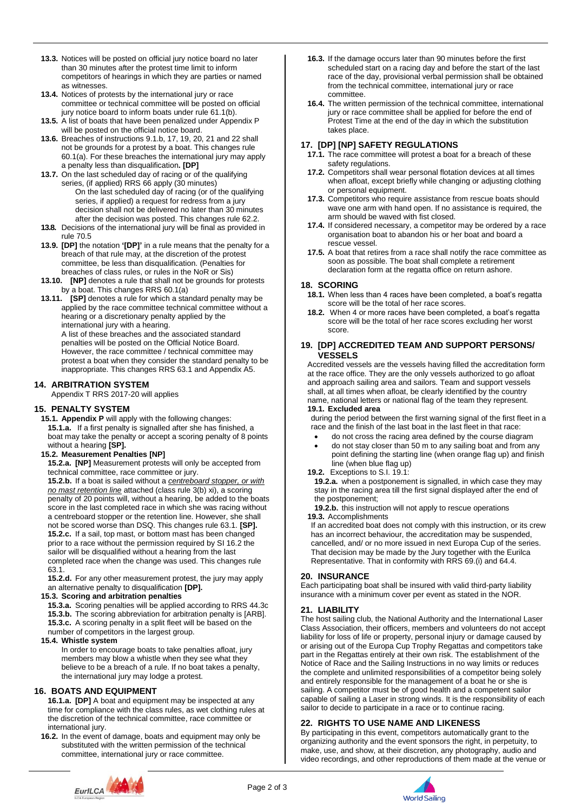- **13.3.** Notices will be posted on official jury notice board no later than 30 minutes after the protest time limit to inform competitors of hearings in which they are parties or named as witnesses.
- **13.4.** Notices of protests by the international jury or race committee or technical committee will be posted on official jury notice board to inform boats under rule 61.1(b).
- **13.5.** A list of boats that have been penalized under Appendix P will be posted on the official notice board.
- **13.6.** Breaches of instructions 9.1.b, 17, 19, 20, 21 and 22 shall not be grounds for a protest by a boat. This changes rule 60.1(a). For these breaches the international jury may apply a penalty less than disqualification**. [DP]**
- **13.7.** On the last scheduled day of racing or of the qualifying series, (if applied) RRS 66 apply (30 minutes) On the last scheduled day of racing (or of the qualifying series, if applied) a request for redress from a jury decision shall not be delivered no later than 30 minutes after the decision was posted. This changes rule 62.2.
- **13.8.** Decisions of the international jury will be final as provided in rule 70.5
- **13.9. [DP]** the notation **'[DP]'** in a rule means that the penalty for a breach of that rule may, at the discretion of the protest committee, be less than disqualification. (Penalties for breaches of class rules, or rules in the NoR or Sis)
- **13.10. [NP]** denotes a rule that shall not be grounds for protests by a boat. This changes RRS 60.1(a)
- **13.11. [SP]** denotes a rule for which a standard penalty may be applied by the race committee technical committee without a hearing or a discretionary penalty applied by the international jury with a hearing.

A list of these breaches and the associated standard penalties will be posted on the Official Notice Board. However, the race committee / technical committee may protest a boat when they consider the standard penalty to be inappropriate. This changes RRS 63.1 and Appendix A5.

# **14. ARBITRATION SYSTEM**

Appendix T RRS 2017-20 will applies

# **15. PENALTY SYSTEM**

**15.1. Appendix P** will apply with the following changes: **15.1.a.** If a first penalty is signalled after she has finished, a boat may take the penalty or accept a scoring penalty of 8 points without a hearing **[SP].**

# **15.2. Measurement Penalties [NP]**

**15.2.a. [NP]** Measurement protests will only be accepted from technical committee, race committee or jury.

**15.2.b.** If a boat is sailed without a *centreboard stopper, or with no mast retention line* attached (class rule 3(b) xi), a scoring penalty of 20 points will, without a hearing, be added to the boats score in the last completed race in which she was racing without a centreboard stopper or the retention line. However, she shall not be scored worse than DSQ. This changes rule 63.1. **[SP]. 15.2.c.** If a sail, top mast, or bottom mast has been changed prior to a race without the permission required by SI 16.2 the sailor will be disqualified without a hearing from the last completed race when the change was used. This changes rule 63.1.

**15.2.d.** For any other measurement protest, the jury may apply an alternative penalty to disqualification **[DP].**

# **15.3. Scoring and arbitration penalties**

**15.3.a.** Scoring penalties will be applied according to RRS 44.3c **15.3.b.** The scoring abbreviation for arbitration penalty is [ARB]. **15.3.c.** A scoring penalty in a split fleet will be based on the number of competitors in the largest group.

# **15.4. Whistle system**

In order to encourage boats to take penalties afloat, jury members may blow a whistle when they see what they believe to be a breach of a rule. If no boat takes a penalty, the international jury may lodge a protest.

# **16. BOATS AND EQUIPMENT**

**16.1.a. [DP]** A boat and equipment may be inspected at any time for compliance with the class rules, as wet clothing rules at the discretion of the technical committee, race committee or international jury.

**16.2.** In the event of damage, boats and equipment may only be substituted with the written permission of the technical committee, international jury or race committee.

- **16.3.** If the damage occurs later than 90 minutes before the first scheduled start on a racing day and before the start of the last race of the day, provisional verbal permission shall be obtained from the technical committee, international jury or race committee.
- **16.4.** The written permission of the technical committee, international jury or race committee shall be applied for before the end of Protest Time at the end of the day in which the substitution takes place.

# **17. [DP] [NP] SAFETY REGULATIONS**

- **17.1.** The race committee will protest a boat for a breach of these safety regulations.
- **17.2.** Competitors shall wear personal flotation devices at all times when afloat, except briefly while changing or adjusting clothing or personal equipment.
- **17.3.** Competitors who require assistance from rescue boats should wave one arm with hand open. If no assistance is required, the arm should be waved with fist closed.
- **17.4.** If considered necessary, a competitor may be ordered by a race organisation boat to abandon his or her boat and board a rescue vessel.
- **17.5.** A boat that retires from a race shall notify the race committee as soon as possible. The boat shall complete a retirement declaration form at the regatta office on return ashore.

# **18. SCORING**

- **18.1.** When less than 4 races have been completed, a boat's regatta score will be the total of her race scores.
- **18.2.** When 4 or more races have been completed, a boat's regatta score will be the total of her race scores excluding her worst score.

#### **19. [DP] ACCREDITED TEAM AND SUPPORT PERSONS/ VESSELS**

Accredited vessels are the vessels having filled the accreditation form at the race office. They are the only vessels authorized to go afloat and approach sailing area and sailors. Team and support vessels shall, at all times when afloat, be clearly identified by the country name, national letters or national flag of the team they represent. **19.1. Excluded area**

#### during the period between the first warning signal of the first fleet in a race and the finish of the last boat in the last fleet in that race:

- do not cross the racing area defined by the course diagram
- do not stay closer than 50 m to any sailing boat and from any point defining the starting line (when orange flag up) and finish line (when blue flag up)

#### **19.2.** Exceptions to S.I. 19.1:

**19.2.a.** when a postponement is signalled, in which case they may stay in the racing area till the first signal displayed after the end of the postponement;

**19.2.b.** this instruction will not apply to rescue operations **19.3.** Accomplishments

If an accredited boat does not comply with this instruction, or its crew has an incorrect behaviour, the accreditation may be suspended, cancelled, and/ or no more issued in next Europa Cup of the series. That decision may be made by the Jury together with the Eurilca Representative. That in conformity with RRS 69.(i) and 64.4.

# **20. INSURANCE**

Each participating boat shall be insured with valid third-party liability insurance with a minimum cover per event as stated in the NOR.

# **21. LIABILITY**

The host sailing club, the National Authority and the International Laser Class Association, their officers, members and volunteers do not accept liability for loss of life or property, personal injury or damage caused by or arising out of the Europa Cup Trophy Regattas and competitors take part in the Regattas entirely at their own risk. The establishment of the Notice of Race and the Sailing Instructions in no way limits or reduces the complete and unlimited responsibilities of a competitor being solely and entirely responsible for the management of a boat he or she is sailing. A competitor must be of good health and a competent sailor capable of sailing a Laser in strong winds. It is the responsibility of each sailor to decide to participate in a race or to continue racing.

# **22. RIGHTS TO USE NAME AND LIKENESS**

By participating in this event, competitors automatically grant to the organizing authority and the event sponsors the right, in perpetuity, to make, use, and show, at their discretion, any photography, audio and video recordings, and other reproductions of them made at the venue or